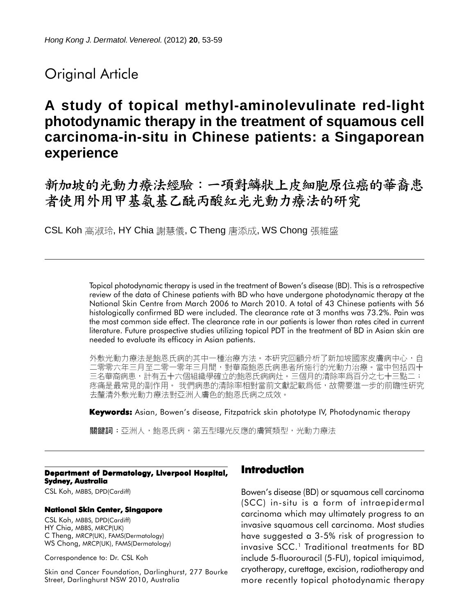# Original Article

# **A study of topical methyl-aminolevulinate red-light photodynamic therapy in the treatment of squamous cell carcinoma-in-situ in Chinese patients: a Singaporean experience**

新加坡的光動力療法經驗:一項對鱗狀上皮細胞原位癌的華裔患 者使用外用甲基氨基乙酰丙酸紅光光動力療法的研究

CSL Koh 高淑玲, HY Chia 謝慧儀, C Theng 唐添成, WS Chong 張維盛

Topical photodynamic therapy is used in the treatment of Bowen's disease (BD). This is a retrospective review of the data of Chinese patients with BD who have undergone photodynamic therapy at the National Skin Centre from March 2006 to March 2010. A total of 43 Chinese patients with 56 histologically confirmed BD were included. The clearance rate at 3 months was 73.2%. Pain was the most common side effect. The clearance rate in our patients is lower than rates cited in current literature. Future prospective studies utilizing topical PDT in the treatment of BD in Asian skin are needed to evaluate its efficacy in Asian patients.

外敷光動力療法是鮑恩氏病的其中一種治療方法。本研究回顧分析了新加坡國家皮膚病中心,自 零零六年三月至二零一零年三月間,對華裔鮑恩氏病患者所施行的光動力治療。當中包括四十 三名華裔病患,計有五十六個組織學確立的鮑恩氏病病灶。三個月的清除率爲百分之七十三點二; 疼痛是最常見的副作用。 我們病患的清除率相對當前文獻記載爲低,故需要進一步的前瞻性研究 去釐清外敷光動力療法對亞洲人膚色的鮑恩氏病之成效。

**Keywords:** Asian, Bowen's disease, Fitzpatrick skin phototype IV, Photodynamic therapy

關鍵詞:亞洲人,鮑恩氏病,第五型曝光反應的膚質類型,光動力療法

#### **Department of Dermatology, Liverpool Hospital, Sydney, Australia**

CSL Koh, MBBS, DPD(Cardiff)

#### **National Skin Center, Singapore**

CSL Koh, MBBS, DPD(Cardiff) HY Chia, MBBS, MRCP(UK) C Theng, MRCP(UK), FAMS(Dermatology) WS Chong, MRCP(UK), FAMS(Dermatology)

Correspondence to: Dr. CSL Koh

Skin and Cancer Foundation, Darlinghurst, 277 Bourke Street, Darlinghurst NSW 2010, Australia

# **Introduction**

Bowen's disease (BD) or squamous cell carcinoma (SCC) in-situ is a form of intraepidermal carcinoma which may ultimately progress to an invasive squamous cell carcinoma. Most studies have suggested a 3-5% risk of progression to invasive SCC.<sup>1</sup> Traditional treatments for BD include 5-fluorouracil (5-FU), topical imiquimod, cryotherapy, curettage, excision, radiotherapy and more recently topical photodynamic therapy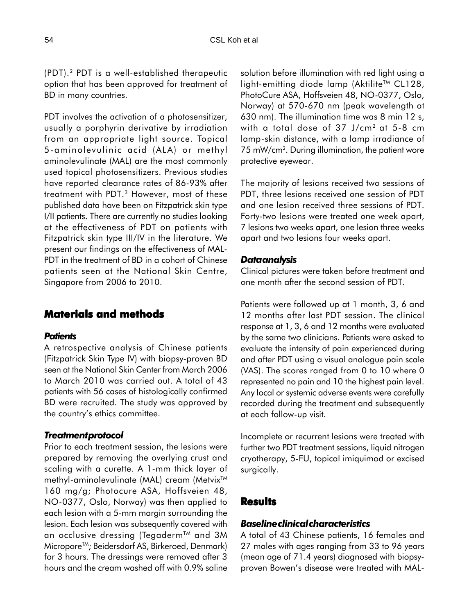(PDT).2 PDT is a well-established therapeutic option that has been approved for treatment of BD in many countries.

PDT involves the activation of a photosensitizer, usually a porphyrin derivative by irradiation from an appropriate light source. Topical 5-aminolevulinic acid (ALA) or methyl aminolevulinate (MAL) are the most commonly used topical photosensitizers. Previous studies have reported clearance rates of 86-93% after treatment with PDT.<sup>3</sup> However, most of these published data have been on Fitzpatrick skin type I/II patients. There are currently no studies looking at the effectiveness of PDT on patients with Fitzpatrick skin type III/IV in the literature. We present our findings on the effectiveness of MAL-PDT in the treatment of BD in a cohort of Chinese patients seen at the National Skin Centre, Singapore from 2006 to 2010.

## **Materials and methods**

### *Patients*

A retrospective analysis of Chinese patients (Fitzpatrick Skin Type IV) with biopsy-proven BD seen at the National Skin Center from March 2006 to March 2010 was carried out. A total of 43 patients with 56 cases of histologically confirmed BD were recruited. The study was approved by the country's ethics committee.

#### *Treatment protocol*

Prior to each treatment session, the lesions were prepared by removing the overlying crust and scaling with a curette. A 1-mm thick layer of methyl-aminolevulinate (MAL) cream (Metvix<sup>™</sup> 160 mg/g; Photocure ASA, Hoffsveien 48, NO-0377, Oslo, Norway) was then applied to each lesion with a 5-mm margin surrounding the lesion. Each lesion was subsequently covered with an occlusive dressing (Tegaderm™ and 3M Micropore<sup>™</sup>; Beidersdorf AS, Birkeroed, Denmark) for 3 hours. The dressings were removed after 3 hours and the cream washed off with 0.9% saline solution before illumination with red light using a light-emitting diode lamp (Aktilite™ CL128, PhotoCure ASA, Hoffsveien 48, NO-0377, Oslo, Norway) at 570-670 nm (peak wavelength at 630 nm). The illumination time was 8 min 12 s, with a total dose of 37 J/cm2 at 5-8 cm lamp-skin distance, with a lamp irradiance of 75 mW/cm2 . During illumination, the patient wore protective eyewear.

The majority of lesions received two sessions of PDT, three lesions received one session of PDT and one lesion received three sessions of PDT. Forty-two lesions were treated one week apart, 7 lesions two weeks apart, one lesion three weeks apart and two lesions four weeks apart.

#### *Data analysis*

Clinical pictures were taken before treatment and one month after the second session of PDT.

Patients were followed up at 1 month, 3, 6 and 12 months after last PDT session. The clinical response at 1, 3, 6 and 12 months were evaluated by the same two clinicians. Patients were asked to evaluate the intensity of pain experienced during and after PDT using a visual analogue pain scale (VAS). The scores ranged from 0 to 10 where 0 represented no pain and 10 the highest pain level. Any local or systemic adverse events were carefully recorded during the treatment and subsequently at each follow-up visit.

Incomplete or recurrent lesions were treated with further two PDT treatment sessions, liquid nitrogen cryotherapy, 5-FU, topical imiquimod or excised surgically.

## **Results**

# *Baseline clinical characteristics*

A total of 43 Chinese patients, 16 females and 27 males with ages ranging from 33 to 96 years (mean age of 71.4 years) diagnosed with biopsyproven Bowen's disease were treated with MAL-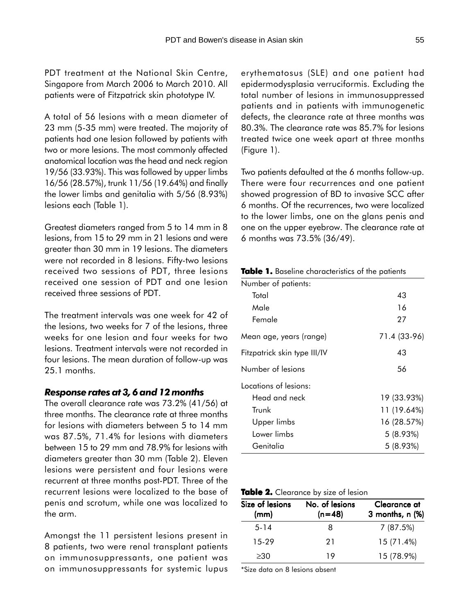PDT treatment at the National Skin Centre, Singapore from March 2006 to March 2010. All patients were of Fitzpatrick skin phototype IV.

A total of 56 lesions with a mean diameter of 23 mm (5-35 mm) were treated. The majority of patients had one lesion followed by patients with two or more lesions. The most commonly affected anatomical location was the head and neck region 19/56 (33.93%). This was followed by upper limbs 16/56 (28.57%), trunk 11/56 (19.64%) and finally the lower limbs and genitalia with 5/56 (8.93%) lesions each (Table 1).

Greatest diameters ranged from 5 to 14 mm in 8 lesions, from 15 to 29 mm in 21 lesions and were greater than 30 mm in 19 lesions. The diameters were not recorded in 8 lesions. Fifty-two lesions received two sessions of PDT, three lesions received one session of PDT and one lesion received three sessions of PDT.

The treatment intervals was one week for 42 of the lesions, two weeks for 7 of the lesions, three weeks for one lesion and four weeks for two lesions. Treatment intervals were not recorded in four lesions. The mean duration of follow-up was 25.1 months.

### *Response rates at 3, 6 and 12 months*

The overall clearance rate was 73.2% (41/56) at three months. The clearance rate at three months for lesions with diameters between 5 to 14 mm was 87.5%, 71.4% for lesions with diameters between 15 to 29 mm and 78.9% for lesions with diameters greater than 30 mm (Table 2). Eleven lesions were persistent and four lesions were recurrent at three months post-PDT. Three of the recurrent lesions were localized to the base of penis and scrotum, while one was localized to the arm.

Amongst the 11 persistent lesions present in 8 patients, two were renal transplant patients on immunosuppressants, one patient was on immunosuppressants for systemic lupus

erythematosus (SLE) and one patient had epidermodysplasia verruciformis. Excluding the total number of lesions in immunosuppressed patients and in patients with immunogenetic defects, the clearance rate at three months was 80.3%. The clearance rate was 85.7% for lesions treated twice one week apart at three months (Figure 1).

Two patients defaulted at the 6 months follow-up. There were four recurrences and one patient showed progression of BD to invasive SCC after 6 months. Of the recurrences, two were localized to the lower limbs, one on the glans penis and one on the upper eyebrow. The clearance rate at 6 months was 73.5% (36/49).

| Table 1. Baseline characteristics of the patients |  |
|---------------------------------------------------|--|
|---------------------------------------------------|--|

| Number of patients:          |              |
|------------------------------|--------------|
| Total                        | 43           |
| Male                         | 16           |
| Female                       | 27           |
| Mean age, years (range)      | 71.4 (33-96) |
| Fitzpatrick skin type III/IV | 43           |
| Number of lesions            | 56           |
| Locations of lesions:        |              |
| Head and neck                | 19 (33.93%)  |
| Trunk                        | 11 (19.64%)  |
| Upper limbs                  | 16 (28.57%)  |
| Lower limbs                  | 5(8.93%)     |
| Genitalia                    | 5(8.93%)     |

| Table 2. Clearance by size of lesion |  |  |  |  |
|--------------------------------------|--|--|--|--|
|--------------------------------------|--|--|--|--|

| Size of lesions | No. of lesions | Clearance at      |  |  |
|-----------------|----------------|-------------------|--|--|
| (mm)            | $(n=48)$       | 3 months, $n$ $%$ |  |  |
| $5 - 14$        | x              | 7(87.5%)          |  |  |
| 15-29           | 21             | 15 (71.4%)        |  |  |
| >30             | 19             | 15 (78.9%)        |  |  |

\*Size data on 8 lesions absent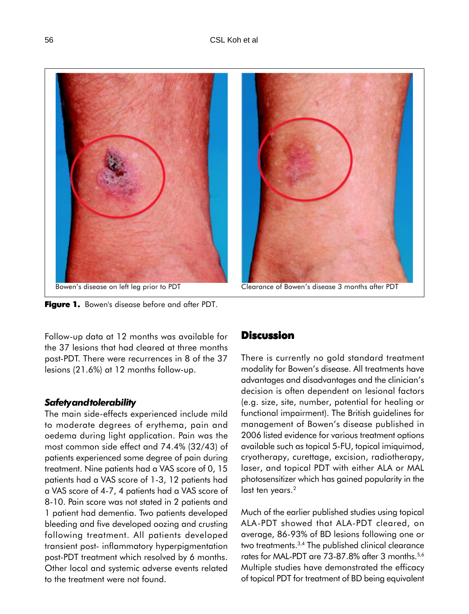

**Figure 1.** Bowen's disease before and after PDT.



Follow-up data at 12 months was available for the 37 lesions that had cleared at three months post-PDT. There were recurrences in 8 of the 37 lesions (21.6%) at 12 months follow-up.

## *Safety and tolerability*

The main side-effects experienced include mild to moderate degrees of erythema, pain and oedema during light application. Pain was the most common side effect and 74.4% (32/43) of patients experienced some degree of pain during treatment. Nine patients had a VAS score of 0, 15 patients had a VAS score of 1-3, 12 patients had a VAS score of 4-7, 4 patients had a VAS score of 8-10. Pain score was not stated in 2 patients and 1 patient had dementia. Two patients developed bleeding and five developed oozing and crusting following treatment. All patients developed transient post- inflammatory hyperpigmentation post-PDT treatment which resolved by 6 months. Other local and systemic adverse events related to the treatment were not found.

# **Discussion**

There is currently no gold standard treatment modality for Bowen's disease. All treatments have advantages and disadvantages and the clinician's decision is often dependent on lesional factors (e.g. size, site, number, potential for healing or functional impairment). The British guidelines for management of Bowen's disease published in 2006 listed evidence for various treatment options available such as topical 5-FU, topical imiquimod, cryotherapy, curettage, excision, radiotherapy, laser, and topical PDT with either ALA or MAL photosensitizer which has gained popularity in the last ten years.<sup>2</sup>

Much of the earlier published studies using topical ALA-PDT showed that ALA-PDT cleared, on average, 86-93% of BD lesions following one or two treatments.3,4 The published clinical clearance rates for MAL-PDT are 73-87.8% after 3 months.<sup>5,6</sup> Multiple studies have demonstrated the efficacy of topical PDT for treatment of BD being equivalent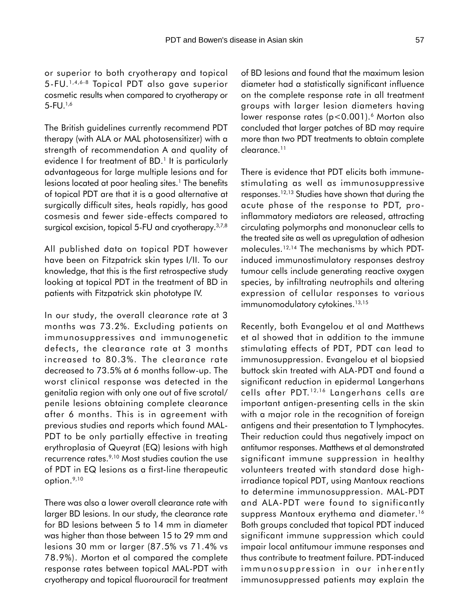or superior to both cryotherapy and topical 5-FU.1,4,6-8 Topical PDT also gave superior cosmetic results when compared to cryotherapy or 5-FU.1,6

The British guidelines currently recommend PDT therapy (with ALA or MAL photosensitizer) with a strength of recommendation A and quality of evidence I for treatment of BD.<sup>1</sup> It is particularly advantageous for large multiple lesions and for lesions located at poor healing sites.<sup>1</sup> The benefits of topical PDT are that it is a good alternative at surgically difficult sites, heals rapidly, has good cosmesis and fewer side-effects compared to surgical excision, topical 5-FU and cryotherapy.<sup>3,7,8</sup>

All published data on topical PDT however have been on Fitzpatrick skin types I/II. To our knowledge, that this is the first retrospective study looking at topical PDT in the treatment of BD in patients with Fitzpatrick skin phototype IV.

In our study, the overall clearance rate at 3 months was 73.2%. Excluding patients on immunosuppressives and immunogenetic defects, the clearance rate at 3 months increased to 80.3%. The clearance rate decreased to 73.5% at 6 months follow-up. The worst clinical response was detected in the genitalia region with only one out of five scrotal/ penile lesions obtaining complete clearance after 6 months. This is in agreement with previous studies and reports which found MAL-PDT to be only partially effective in treating erythroplasia of Queyrat (EQ) lesions with high recurrence rates.<sup>9,10</sup> Most studies caution the use of PDT in EQ lesions as a first-line therapeutic option.9,10

There was also a lower overall clearance rate with larger BD lesions. In our study, the clearance rate for BD lesions between 5 to 14 mm in diameter was higher than those between 15 to 29 mm and lesions 30 mm or larger (87.5% vs 71.4% vs 78.9%). Morton et al compared the complete response rates between topical MAL-PDT with cryotherapy and topical fluorouracil for treatment of BD lesions and found that the maximum lesion diameter had a statistically significant influence on the complete response rate in all treatment groups with larger lesion diameters having lower response rates (p<0.001).<sup>6</sup> Morton also concluded that larger patches of BD may require more than two PDT treatments to obtain complete clearance.11

There is evidence that PDT elicits both immunestimulating as well as immunosuppressive responses.12,13 Studies have shown that during the acute phase of the response to PDT, proinflammatory mediators are released, attracting circulating polymorphs and mononuclear cells to the treated site as well as upregulation of adhesion molecules.12,14 The mechanisms by which PDTinduced immunostimulatory responses destroy tumour cells include generating reactive oxygen species, by infiltrating neutrophils and altering expression of cellular responses to various immunomodulatory cytokines.<sup>13,15</sup>

Recently, both Evangelou et al and Matthews et al showed that in addition to the immune stimulating effects of PDT, PDT can lead to immunosuppression. Evangelou et al biopsied buttock skin treated with ALA-PDT and found a significant reduction in epidermal Langerhans cells after PDT. 12,16 Langerhans cells are important antigen-presenting cells in the skin with a major role in the recognition of foreign antigens and their presentation to T lymphocytes. Their reduction could thus negatively impact on antitumor responses. Matthews et al demonstrated significant immune suppression in healthy volunteers treated with standard dose highirradiance topical PDT, using Mantoux reactions to determine immunosuppression. MAL-PDT and ALA-PDT were found to significantly suppress Mantoux erythema and diameter.<sup>16</sup> Both groups concluded that topical PDT induced significant immune suppression which could impair local antitumour immune responses and thus contribute to treatment failure. PDT-induced immunosuppression in our inherently immunosuppressed patients may explain the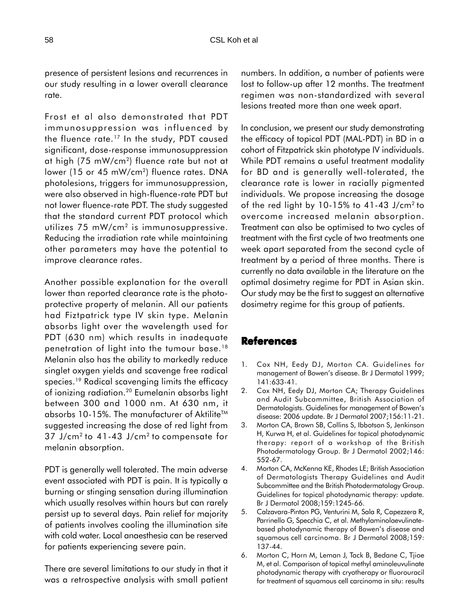presence of persistent lesions and recurrences in our study resulting in a lower overall clearance rate.

Frost et al also demonstrated that PDT immunosuppression was influenced by the fluence rate.<sup>17</sup> In the study, PDT caused significant, dose-response immunosuppression at high (75 mW/cm2) fluence rate but not at lower (15 or 45 mW/cm<sup>2</sup>) fluence rates. DNA photolesions, triggers for immunosuppression, were also observed in high-fluence-rate PDT but not lower fluence-rate PDT. The study suggested that the standard current PDT protocol which utilizes 75 mW/cm<sup>2</sup> is immunosuppressive. Reducing the irradiation rate while maintaining other parameters may have the potential to improve clearance rates.

Another possible explanation for the overall lower than reported clearance rate is the photoprotective property of melanin. All our patients had Fiztpatrick type IV skin type. Melanin absorbs light over the wavelength used for PDT (630 nm) which results in inadequate penetration of light into the tumour base.18 Melanin also has the ability to markedly reduce singlet oxygen yields and scavenge free radical species.19 Radical scavenging limits the efficacy of ionizing radiation.20 Eumelanin absorbs light between 300 and 1000 nm. At 630 nm, it absorbs 10-15%. The manufacturer of Aktilite™ suggested increasing the dose of red light from 37 J/cm2 to 41-43 J/cm2 to compensate for melanin absorption.

PDT is generally well tolerated. The main adverse event associated with PDT is pain. It is typically a burning or stinging sensation during illumination which usually resolves within hours but can rarely persist up to several days. Pain relief for majority of patients involves cooling the illumination site with cold water. Local anaesthesia can be reserved for patients experiencing severe pain.

There are several limitations to our study in that it was a retrospective analysis with small patient numbers. In addition, a number of patients were lost to follow-up after 12 months. The treatment regimen was non-standardized with several lesions treated more than one week apart.

In conclusion, we present our study demonstrating the efficacy of topical PDT (MAL-PDT) in BD in a cohort of Fitzpatrick skin phototype IV individuals. While PDT remains a useful treatment modality for BD and is generally well-tolerated, the clearance rate is lower in racially pigmented individuals. We propose increasing the dosage of the red light by 10-15% to 41-43 J/cm2 to overcome increased melanin absorption. Treatment can also be optimised to two cycles of treatment with the first cycle of two treatments one week apart separated from the second cycle of treatment by a period of three months. There is currently no data available in the literature on the optimal dosimetry regime for PDT in Asian skin. Our study may be the first to suggest an alternative dosimetry regime for this group of patients.

# **References**

- 1. Cox NH, Eedy DJ, Morton CA. Guidelines for management of Bowen's disease. Br J Dermatol 1999; 141:633-41.
- 2. Cox NH, Eedy DJ, Morton CA; Therapy Guidelines and Audit Subcommittee, British Association of Dermatologists. Guidelines for management of Bowen's disease: 2006 update. Br J Dermatol 2007;156:11-21.
- 3. Morton CA, Brown SB, Collins S, Ibbotson S, Jenkinson H, Kurwa H, et al. Guidelines for topical photodynamic therapy: report of a workshop of the British Photodermatology Group. Br J Dermatol 2002;146: 552-67.
- 4. Morton CA, McKenna KE, Rhodes LE; British Association of Dermatologists Therapy Guidelines and Audit Subcommittee and the British Photodermatology Group. Guidelines for topical photodynamic therapy: update*.* Br J Dermatol 2008;159:1245-66.
- 5. Calzavara-Pinton PG, Venturini M, Sala R, Capezzera R, Parrinello G, Specchia C, et al. Methylaminolaevulinatebased photodynamic therapy of Bowen's disease and squamous cell carcinoma. Br J Dermatol 2008;159: 137-44.
- 6. Morton C, Horn M, Leman J, Tack B, Bedane C, Tjioe M, et al. Comparison of topical methyl aminoleuvulinate photodynamic therapy with cryotherapy or fluorouracil for treatment of squamous cell carcinoma in situ: results